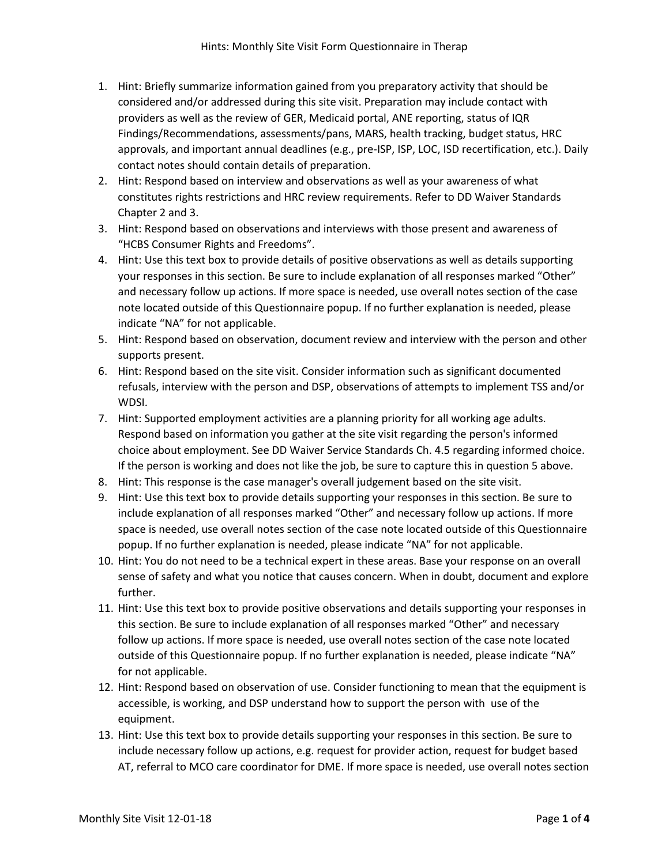- 1. Hint: Briefly summarize information gained from you preparatory activity that should be considered and/or addressed during this site visit. Preparation may include contact with providers as well as the review of GER, Medicaid portal, ANE reporting, status of IQR Findings/Recommendations, assessments/pans, MARS, health tracking, budget status, HRC approvals, and important annual deadlines (e.g., pre-ISP, ISP, LOC, ISD recertification, etc.). Daily contact notes should contain details of preparation.
- 2. Hint: Respond based on interview and observations as well as your awareness of what constitutes rights restrictions and HRC review requirements. Refer to DD Waiver Standards Chapter 2 and 3.
- 3. Hint: Respond based on observations and interviews with those present and awareness of "HCBS Consumer Rights and Freedoms".
- 4. Hint: Use this text box to provide details of positive observations as well as details supporting your responses in this section. Be sure to include explanation of all responses marked "Other" and necessary follow up actions. If more space is needed, use overall notes section of the case note located outside of this Questionnaire popup. If no further explanation is needed, please indicate "NA" for not applicable.
- 5. Hint: Respond based on observation, document review and interview with the person and other supports present.
- 6. Hint: Respond based on the site visit. Consider information such as significant documented refusals, interview with the person and DSP, observations of attempts to implement TSS and/or WDSI.
- 7. Hint: Supported employment activities are a planning priority for all working age adults. Respond based on information you gather at the site visit regarding the person's informed choice about employment. See DD Waiver Service Standards Ch. 4.5 regarding informed choice. If the person is working and does not like the job, be sure to capture this in question 5 above.
- 8. Hint: This response is the case manager's overall judgement based on the site visit.
- 9. Hint: Use this text box to provide details supporting your responses in this section. Be sure to include explanation of all responses marked "Other" and necessary follow up actions. If more space is needed, use overall notes section of the case note located outside of this Questionnaire popup. If no further explanation is needed, please indicate "NA" for not applicable.
- 10. Hint: You do not need to be a technical expert in these areas. Base your response on an overall sense of safety and what you notice that causes concern. When in doubt, document and explore further.
- 11. Hint: Use this text box to provide positive observations and details supporting your responses in this section. Be sure to include explanation of all responses marked "Other" and necessary follow up actions. If more space is needed, use overall notes section of the case note located outside of this Questionnaire popup. If no further explanation is needed, please indicate "NA" for not applicable.
- 12. Hint: Respond based on observation of use. Consider functioning to mean that the equipment is accessible, is working, and DSP understand how to support the person with use of the equipment.
- 13. Hint: Use this text box to provide details supporting your responses in this section. Be sure to include necessary follow up actions, e.g. request for provider action, request for budget based AT, referral to MCO care coordinator for DME. If more space is needed, use overall notes section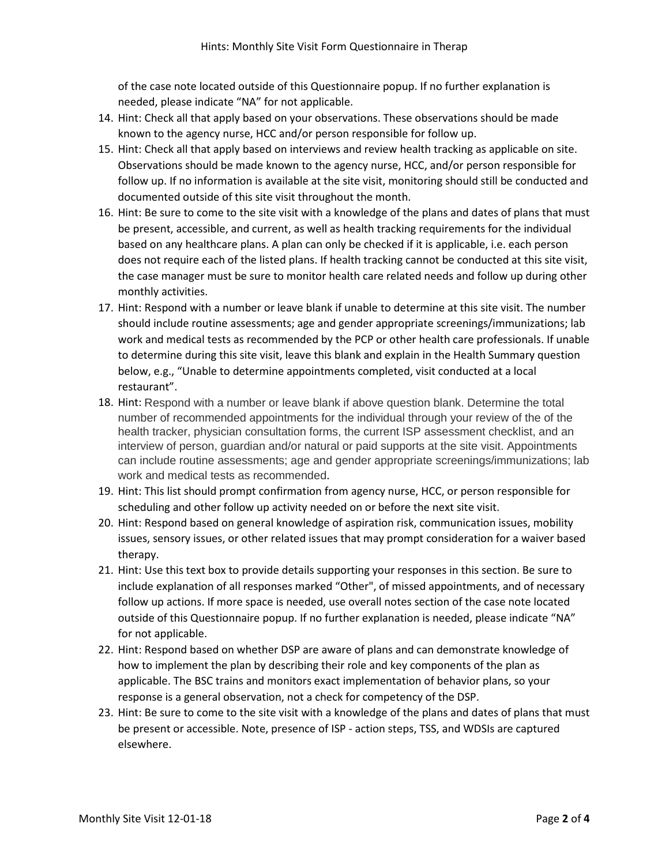of the case note located outside of this Questionnaire popup. If no further explanation is needed, please indicate "NA" for not applicable.

- 14. Hint: Check all that apply based on your observations. These observations should be made known to the agency nurse, HCC and/or person responsible for follow up.
- 15. Hint: Check all that apply based on interviews and review health tracking as applicable on site. Observations should be made known to the agency nurse, HCC, and/or person responsible for follow up. If no information is available at the site visit, monitoring should still be conducted and documented outside of this site visit throughout the month.
- 16. Hint: Be sure to come to the site visit with a knowledge of the plans and dates of plans that must be present, accessible, and current, as well as health tracking requirements for the individual based on any healthcare plans. A plan can only be checked if it is applicable, i.e. each person does not require each of the listed plans. If health tracking cannot be conducted at this site visit, the case manager must be sure to monitor health care related needs and follow up during other monthly activities.
- 17. Hint: Respond with a number or leave blank if unable to determine at this site visit. The number should include routine assessments; age and gender appropriate screenings/immunizations; lab work and medical tests as recommended by the PCP or other health care professionals. If unable to determine during this site visit, leave this blank and explain in the Health Summary question below, e.g., "Unable to determine appointments completed, visit conducted at a local restaurant".
- 18. Hint: Respond with a number or leave blank if above question blank. Determine the total number of recommended appointments for the individual through your review of the of the health tracker, physician consultation forms, the current ISP assessment checklist, and an interview of person, guardian and/or natural or paid supports at the site visit. Appointments can include routine assessments; age and gender appropriate screenings/immunizations; lab work and medical tests as recommended.
- 19. Hint: This list should prompt confirmation from agency nurse, HCC, or person responsible for scheduling and other follow up activity needed on or before the next site visit.
- 20. Hint: Respond based on general knowledge of aspiration risk, communication issues, mobility issues, sensory issues, or other related issues that may prompt consideration for a waiver based therapy.
- 21. Hint: Use this text box to provide details supporting your responses in this section. Be sure to include explanation of all responses marked "Other", of missed appointments, and of necessary follow up actions. If more space is needed, use overall notes section of the case note located outside of this Questionnaire popup. If no further explanation is needed, please indicate "NA" for not applicable.
- 22. Hint: Respond based on whether DSP are aware of plans and can demonstrate knowledge of how to implement the plan by describing their role and key components of the plan as applicable. The BSC trains and monitors exact implementation of behavior plans, so your response is a general observation, not a check for competency of the DSP.
- 23. Hint: Be sure to come to the site visit with a knowledge of the plans and dates of plans that must be present or accessible. Note, presence of ISP - action steps, TSS, and WDSIs are captured elsewhere.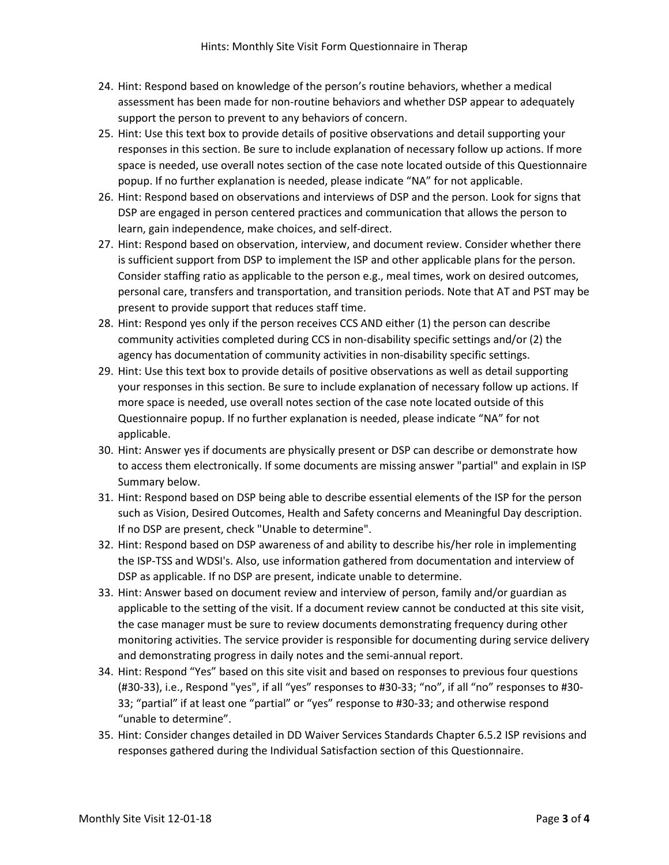- 24. Hint: Respond based on knowledge of the person's routine behaviors, whether a medical assessment has been made for non-routine behaviors and whether DSP appear to adequately support the person to prevent to any behaviors of concern.
- 25. Hint: Use this text box to provide details of positive observations and detail supporting your responses in this section. Be sure to include explanation of necessary follow up actions. If more space is needed, use overall notes section of the case note located outside of this Questionnaire popup. If no further explanation is needed, please indicate "NA" for not applicable.
- 26. Hint: Respond based on observations and interviews of DSP and the person. Look for signs that DSP are engaged in person centered practices and communication that allows the person to learn, gain independence, make choices, and self-direct.
- 27. Hint: Respond based on observation, interview, and document review. Consider whether there is sufficient support from DSP to implement the ISP and other applicable plans for the person. Consider staffing ratio as applicable to the person e.g., meal times, work on desired outcomes, personal care, transfers and transportation, and transition periods. Note that AT and PST may be present to provide support that reduces staff time.
- 28. Hint: Respond yes only if the person receives CCS AND either (1) the person can describe community activities completed during CCS in non-disability specific settings and/or (2) the agency has documentation of community activities in non-disability specific settings.
- 29. Hint: Use this text box to provide details of positive observations as well as detail supporting your responses in this section. Be sure to include explanation of necessary follow up actions. If more space is needed, use overall notes section of the case note located outside of this Questionnaire popup. If no further explanation is needed, please indicate "NA" for not applicable.
- 30. Hint: Answer yes if documents are physically present or DSP can describe or demonstrate how to access them electronically. If some documents are missing answer "partial" and explain in ISP Summary below.
- 31. Hint: Respond based on DSP being able to describe essential elements of the ISP for the person such as Vision, Desired Outcomes, Health and Safety concerns and Meaningful Day description. If no DSP are present, check "Unable to determine".
- 32. Hint: Respond based on DSP awareness of and ability to describe his/her role in implementing the ISP-TSS and WDSI's. Also, use information gathered from documentation and interview of DSP as applicable. If no DSP are present, indicate unable to determine.
- 33. Hint: Answer based on document review and interview of person, family and/or guardian as applicable to the setting of the visit. If a document review cannot be conducted at this site visit, the case manager must be sure to review documents demonstrating frequency during other monitoring activities. The service provider is responsible for documenting during service delivery and demonstrating progress in daily notes and the semi-annual report.
- 34. Hint: Respond "Yes" based on this site visit and based on responses to previous four questions (#30-33), i.e., Respond "yes", if all "yes" responses to #30-33; "no", if all "no" responses to #30- 33; "partial" if at least one "partial" or "yes" response to #30-33; and otherwise respond "unable to determine".
- 35. Hint: Consider changes detailed in DD Waiver Services Standards Chapter 6.5.2 ISP revisions and responses gathered during the Individual Satisfaction section of this Questionnaire.